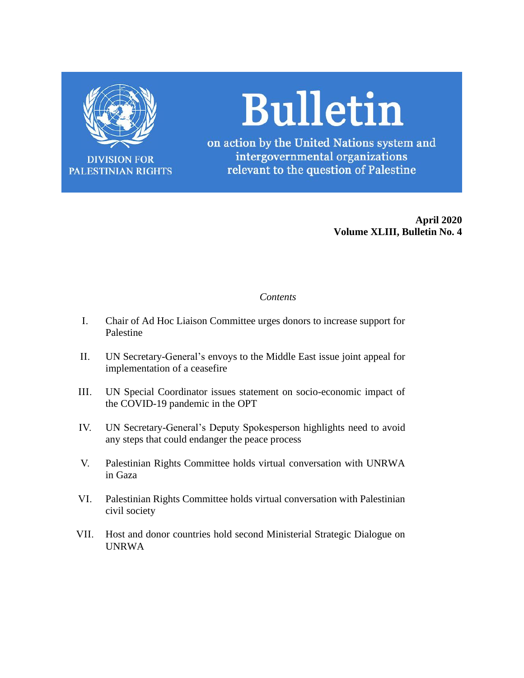

**DIVISION FOR PALESTINIAN RIGHTS** 

# **Bulletin**

on action by the United Nations system and intergovernmental organizations relevant to the question of Palestine

> **April 2020 Volume XLIII, Bulletin No. 4**

# *Contents*

- I. Chair of Ad Hoc Liaison Committee urges donors to increase support for Palestine
- II. UN Secretary-General's envoys to the Middle East issue joint appeal for implementation of a ceasefire
- III. UN Special Coordinator issues statement on socio-economic impact of the COVID-19 pandemic in the OPT
- IV. UN Secretary-General's Deputy Spokesperson highlights need to avoid any steps that could endanger the peace process
- V. Palestinian Rights Committee holds virtual conversation with UNRWA in Gaza
- VI. Palestinian Rights Committee holds virtual conversation with Palestinian civil society
- VII. Host and donor countries hold second Ministerial Strategic Dialogue on UNRWA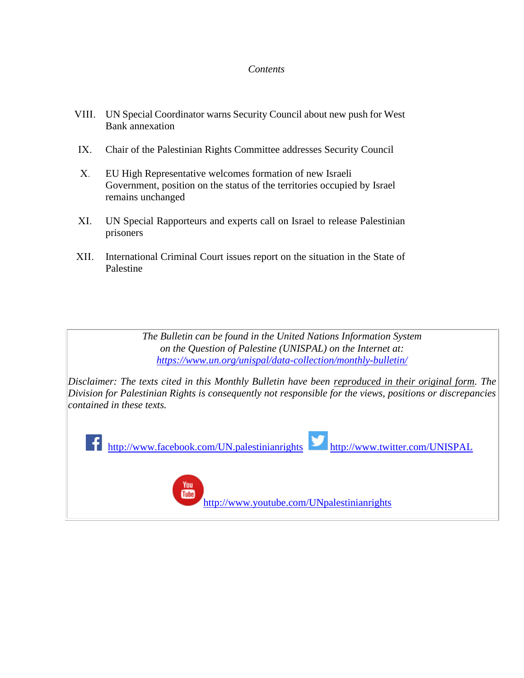# *Contents*

- VIII. UN Special Coordinator warns Security Council about new push for West Bank annexation
- IX. Chair of the Palestinian Rights Committee addresses Security Council
- X. EU High Representative welcomes formation of new Israeli Government, position on the status of the territories occupied by Israel remains unchanged
- XI. UN Special Rapporteurs and experts call on Israel to release Palestinian prisoners
- XII. International Criminal Court issues report on the situation in the State of Palestine

*The Bulletin can be found in the United Nations Information System on the Question of Palestine (UNISPAL) on the Internet at: <https://www.un.org/unispal/data-collection/monthly-bulletin/>*

*Disclaimer: The texts cited in this Monthly Bulletin have been reproduced in their original form. The Division for Palestinian Rights is consequently not responsible for the views, positions or discrepancies contained in these texts.*



<http://www.youtube.com/UNpalestinianrights>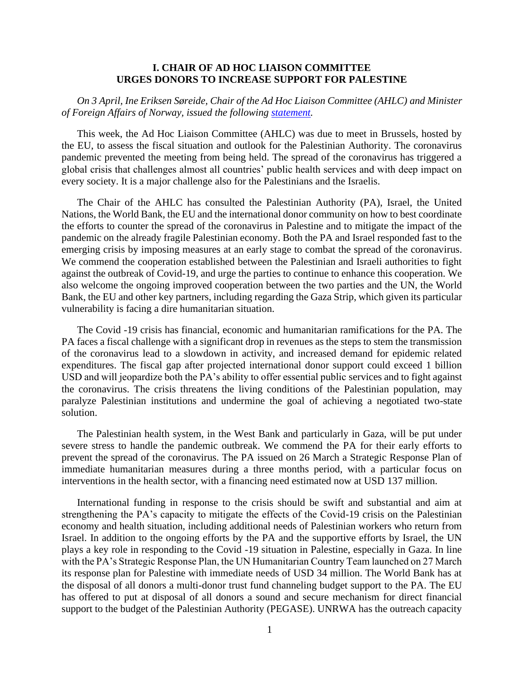### **I. CHAIR OF AD HOC LIAISON COMMITTEE URGES DONORS TO INCREASE SUPPORT FOR PALESTINE**

*On 3 April, Ine Eriksen Søreide, Chair of the Ad Hoc Liaison Committee (AHLC) and Minister of Foreign Affairs of Norway, issued the following [statement.](https://www.un.org/unispal/document/chair-of-ad-hoc-liaison-committee-ahlc-urges-donors-to-increase-support-for-palestine-statement/)*

This week, the Ad Hoc Liaison Committee (AHLC) was due to meet in Brussels, hosted by the EU, to assess the fiscal situation and outlook for the Palestinian Authority. The coronavirus pandemic prevented the meeting from being held. The spread of the coronavirus has triggered a global crisis that challenges almost all countries' public health services and with deep impact on every society. It is a major challenge also for the Palestinians and the Israelis.

The Chair of the AHLC has consulted the Palestinian Authority (PA), Israel, the United Nations, the World Bank, the EU and the international donor community on how to best coordinate the efforts to counter the spread of the coronavirus in Palestine and to mitigate the impact of the pandemic on the already fragile Palestinian economy. Both the PA and Israel responded fast to the emerging crisis by imposing measures at an early stage to combat the spread of the coronavirus. We commend the cooperation established between the Palestinian and Israeli authorities to fight against the outbreak of Covid-19, and urge the parties to continue to enhance this cooperation. We also welcome the ongoing improved cooperation between the two parties and the UN, the World Bank, the EU and other key partners, including regarding the Gaza Strip, which given its particular vulnerability is facing a dire humanitarian situation.

The Covid -19 crisis has financial, economic and humanitarian ramifications for the PA. The PA faces a fiscal challenge with a significant drop in revenues as the steps to stem the transmission of the coronavirus lead to a slowdown in activity, and increased demand for epidemic related expenditures. The fiscal gap after projected international donor support could exceed 1 billion USD and will jeopardize both the PA's ability to offer essential public services and to fight against the coronavirus. The crisis threatens the living conditions of the Palestinian population, may paralyze Palestinian institutions and undermine the goal of achieving a negotiated two-state solution.

The Palestinian health system, in the West Bank and particularly in Gaza, will be put under severe stress to handle the pandemic outbreak. We commend the PA for their early efforts to prevent the spread of the coronavirus. The PA issued on 26 March a Strategic Response Plan of immediate humanitarian measures during a three months period, with a particular focus on interventions in the health sector, with a financing need estimated now at USD 137 million.

International funding in response to the crisis should be swift and substantial and aim at strengthening the PA's capacity to mitigate the effects of the Covid-19 crisis on the Palestinian economy and health situation, including additional needs of Palestinian workers who return from Israel. In addition to the ongoing efforts by the PA and the supportive efforts by Israel, the UN plays a key role in responding to the Covid -19 situation in Palestine, especially in Gaza. In line with the PA's Strategic Response Plan, the UN Humanitarian Country Team launched on 27 March its response plan for Palestine with immediate needs of USD 34 million. The World Bank has at the disposal of all donors a multi-donor trust fund channeling budget support to the PA. The EU has offered to put at disposal of all donors a sound and secure mechanism for direct financial support to the budget of the Palestinian Authority (PEGASE). UNRWA has the outreach capacity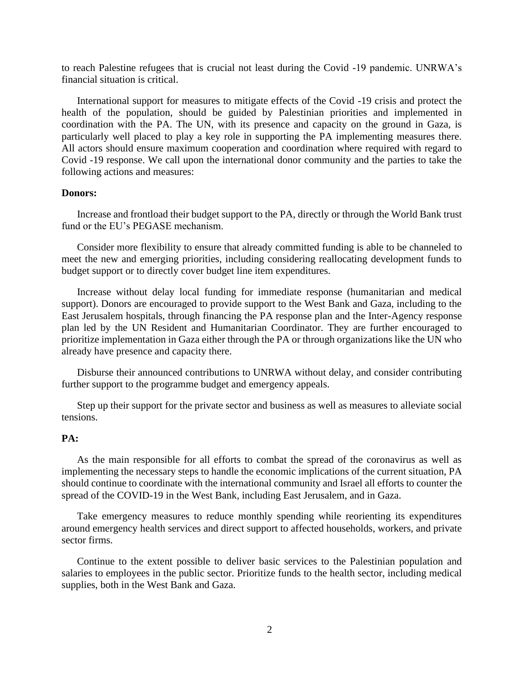to reach Palestine refugees that is crucial not least during the Covid -19 pandemic. UNRWA's financial situation is critical.

International support for measures to mitigate effects of the Covid -19 crisis and protect the health of the population, should be guided by Palestinian priorities and implemented in coordination with the PA. The UN, with its presence and capacity on the ground in Gaza, is particularly well placed to play a key role in supporting the PA implementing measures there. All actors should ensure maximum cooperation and coordination where required with regard to Covid -19 response. We call upon the international donor community and the parties to take the following actions and measures:

# **Donors:**

Increase and frontload their budget support to the PA, directly or through the World Bank trust fund or the EU's PEGASE mechanism.

Consider more flexibility to ensure that already committed funding is able to be channeled to meet the new and emerging priorities, including considering reallocating development funds to budget support or to directly cover budget line item expenditures.

Increase without delay local funding for immediate response (humanitarian and medical support). Donors are encouraged to provide support to the West Bank and Gaza, including to the East Jerusalem hospitals, through financing the PA response plan and the Inter-Agency response plan led by the UN Resident and Humanitarian Coordinator. They are further encouraged to prioritize implementation in Gaza either through the PA or through organizations like the UN who already have presence and capacity there.

Disburse their announced contributions to UNRWA without delay, and consider contributing further support to the programme budget and emergency appeals.

Step up their support for the private sector and business as well as measures to alleviate social tensions.

### **PA:**

As the main responsible for all efforts to combat the spread of the coronavirus as well as implementing the necessary steps to handle the economic implications of the current situation, PA should continue to coordinate with the international community and Israel all efforts to counter the spread of the COVID-19 in the West Bank, including East Jerusalem, and in Gaza.

Take emergency measures to reduce monthly spending while reorienting its expenditures around emergency health services and direct support to affected households, workers, and private sector firms.

Continue to the extent possible to deliver basic services to the Palestinian population and salaries to employees in the public sector. Prioritize funds to the health sector, including medical supplies, both in the West Bank and Gaza.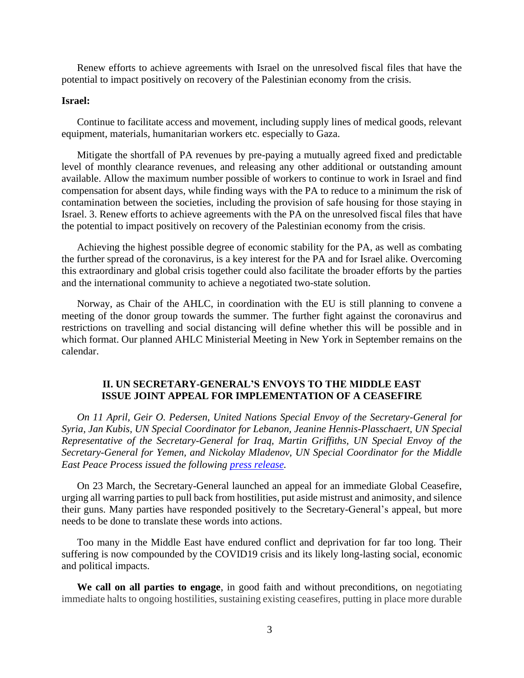Renew efforts to achieve agreements with Israel on the unresolved fiscal files that have the potential to impact positively on recovery of the Palestinian economy from the crisis.

# **Israel:**

Continue to facilitate access and movement, including supply lines of medical goods, relevant equipment, materials, humanitarian workers etc. especially to Gaza.

Mitigate the shortfall of PA revenues by pre-paying a mutually agreed fixed and predictable level of monthly clearance revenues, and releasing any other additional or outstanding amount available. Allow the maximum number possible of workers to continue to work in Israel and find compensation for absent days, while finding ways with the PA to reduce to a minimum the risk of contamination between the societies, including the provision of safe housing for those staying in Israel. 3. Renew efforts to achieve agreements with the PA on the unresolved fiscal files that have the potential to impact positively on recovery of the Palestinian economy from the crisis.

Achieving the highest possible degree of economic stability for the PA, as well as combating the further spread of the coronavirus, is a key interest for the PA and for Israel alike. Overcoming this extraordinary and global crisis together could also facilitate the broader efforts by the parties and the international community to achieve a negotiated two-state solution.

Norway, as Chair of the AHLC, in coordination with the EU is still planning to convene a meeting of the donor group towards the summer. The further fight against the coronavirus and restrictions on travelling and social distancing will define whether this will be possible and in which format. Our planned AHLC Ministerial Meeting in New York in September remains on the calendar.

# **II. UN SECRETARY-GENERAL'S ENVOYS TO THE MIDDLE EAST ISSUE JOINT APPEAL FOR IMPLEMENTATION OF A CEASEFIRE**

*On 11 April, Geir O. Pedersen, United Nations Special Envoy of the Secretary-General for Syria, Jan Kubis, UN Special Coordinator for Lebanon, Jeanine Hennis-Plasschaert, UN Special Representative of the Secretary-General for Iraq, Martin Griffiths, UN Special Envoy of the Secretary-General for Yemen, and Nickolay Mladenov, UN Special Coordinator for the Middle East Peace Process issued the following [press release.](https://www.un.org/unispal/document/joint-appeal-by-the-un-secretary-generals-envoys-to-the-middle-east-unsco-press-release/)*

On 23 March, the Secretary-General launched an appeal for an immediate Global Ceasefire, urging all warring parties to pull back from hostilities, put aside mistrust and animosity, and silence their guns. Many parties have responded positively to the Secretary-General's appeal, but more needs to be done to translate these words into actions.

Too many in the Middle East have endured conflict and deprivation for far too long. Their suffering is now compounded by the COVID19 crisis and its likely long-lasting social, economic and political impacts.

**We call on all parties to engage**, in good faith and without preconditions, on negotiating immediate halts to ongoing hostilities, sustaining existing ceasefires, putting in place more durable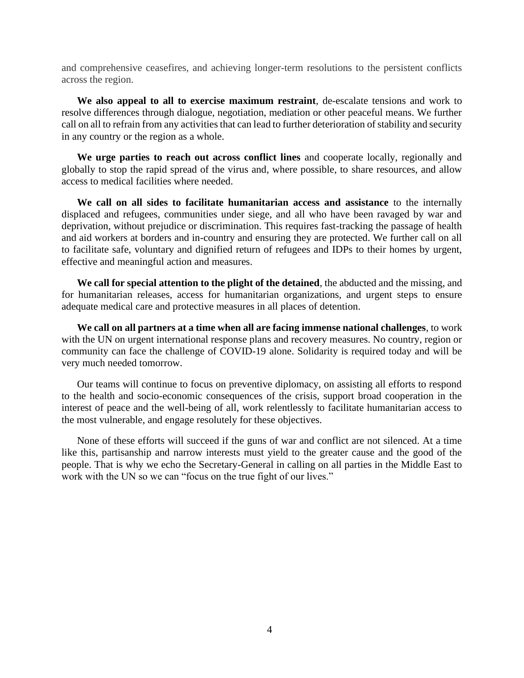and comprehensive ceasefires, and achieving longer-term resolutions to the persistent conflicts across the region.

**We also appeal to all to exercise maximum restraint**, de-escalate tensions and work to resolve differences through dialogue, negotiation, mediation or other peaceful means. We further call on all to refrain from any activities that can lead to further deterioration of stability and security in any country or the region as a whole.

**We urge parties to reach out across conflict lines** and cooperate locally, regionally and globally to stop the rapid spread of the virus and, where possible, to share resources, and allow access to medical facilities where needed.

**We call on all sides to facilitate humanitarian access and assistance** to the internally displaced and refugees, communities under siege, and all who have been ravaged by war and deprivation, without prejudice or discrimination. This requires fast-tracking the passage of health and aid workers at borders and in-country and ensuring they are protected. We further call on all to facilitate safe, voluntary and dignified return of refugees and IDPs to their homes by urgent, effective and meaningful action and measures.

**We call for special attention to the plight of the detained**, the abducted and the missing, and for humanitarian releases, access for humanitarian organizations, and urgent steps to ensure adequate medical care and protective measures in all places of detention.

**We call on all partners at a time when all are facing immense national challenges**, to work with the UN on urgent international response plans and recovery measures. No country, region or community can face the challenge of COVID-19 alone. Solidarity is required today and will be very much needed tomorrow.

Our teams will continue to focus on preventive diplomacy, on assisting all efforts to respond to the health and socio-economic consequences of the crisis, support broad cooperation in the interest of peace and the well-being of all, work relentlessly to facilitate humanitarian access to the most vulnerable, and engage resolutely for these objectives.

None of these efforts will succeed if the guns of war and conflict are not silenced. At a time like this, partisanship and narrow interests must yield to the greater cause and the good of the people. That is why we echo the Secretary-General in calling on all parties in the Middle East to work with the UN so we can "focus on the true fight of our lives."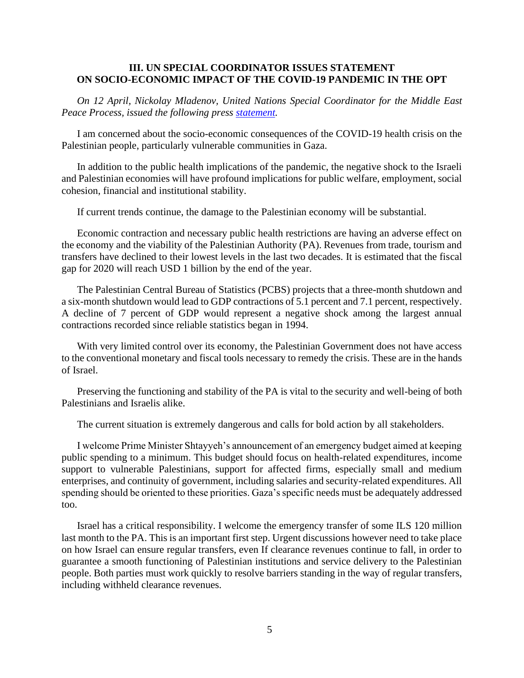# **III. UN SPECIAL COORDINATOR ISSUES STATEMENT ON SOCIO-ECONOMIC IMPACT OF THE COVID-19 PANDEMIC IN THE OPT**

*On 12 April, Nickolay Mladenov, United Nations Special Coordinator for the Middle East Peace Process, issued the following press [statement.](https://www.un.org/unispal/document/statement-by-un-special-coordinator-mladenov-on-the-socio-economic-impact-of-covid-19-in-the-opt/)*

I am concerned about the socio-economic consequences of the COVID-19 health crisis on the Palestinian people, particularly vulnerable communities in Gaza.

In addition to the public health implications of the pandemic, the negative shock to the Israeli and Palestinian economies will have profound implications for public welfare, employment, social cohesion, financial and institutional stability.

If current trends continue, the damage to the Palestinian economy will be substantial.

Economic contraction and necessary public health restrictions are having an adverse effect on the economy and the viability of the Palestinian Authority (PA). Revenues from trade, tourism and transfers have declined to their lowest levels in the last two decades. It is estimated that the fiscal gap for 2020 will reach USD 1 billion by the end of the year.

The Palestinian Central Bureau of Statistics (PCBS) projects that a three-month shutdown and a six-month shutdown would lead to GDP contractions of 5.1 percent and 7.1 percent, respectively. A decline of 7 percent of GDP would represent a negative shock among the largest annual contractions recorded since reliable statistics began in 1994.

With very limited control over its economy, the Palestinian Government does not have access to the conventional monetary and fiscal tools necessary to remedy the crisis. These are in the hands of Israel.

Preserving the functioning and stability of the PA is vital to the security and well-being of both Palestinians and Israelis alike.

The current situation is extremely dangerous and calls for bold action by all stakeholders.

I welcome Prime Minister Shtayyeh's announcement of an emergency budget aimed at keeping public spending to a minimum. This budget should focus on health-related expenditures, income support to vulnerable Palestinians, support for affected firms, especially small and medium enterprises, and continuity of government, including salaries and security-related expenditures. All spending should be oriented to these priorities. Gaza's specific needs must be adequately addressed too.

Israel has a critical responsibility. I welcome the emergency transfer of some ILS 120 million last month to the PA. This is an important first step. Urgent discussions however need to take place on how Israel can ensure regular transfers, even If clearance revenues continue to fall, in order to guarantee a smooth functioning of Palestinian institutions and service delivery to the Palestinian people. Both parties must work quickly to resolve barriers standing in the way of regular transfers, including withheld clearance revenues.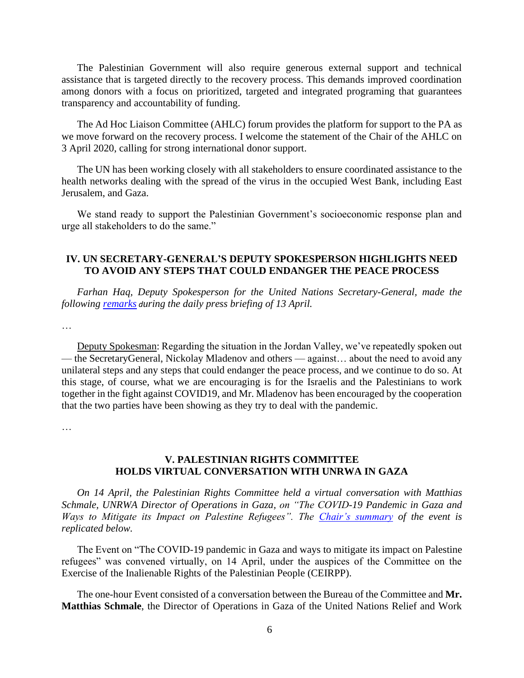The Palestinian Government will also require generous external support and technical assistance that is targeted directly to the recovery process. This demands improved coordination among donors with a focus on prioritized, targeted and integrated programing that guarantees transparency and accountability of funding.

The Ad Hoc Liaison Committee (AHLC) forum provides the platform for support to the PA as we move forward on the recovery process. I welcome the statement of the Chair of the AHLC on 3 April 2020, calling for strong international donor support.

The UN has been working closely with all stakeholders to ensure coordinated assistance to the health networks dealing with the spread of the virus in the occupied West Bank, including East Jerusalem, and Gaza.

We stand ready to support the Palestinian Government's socioeconomic response plan and urge all stakeholders to do the same."

# **IV. UN SECRETARY-GENERAL'S DEPUTY SPOKESPERSON HIGHLIGHTS NEED TO AVOID ANY STEPS THAT COULD ENDANGER THE PEACE PROCESS**

*Farhan Haq, Deputy Spokesperson for the United Nations Secretary-General, made the following [remarks](https://www.un.org/unispal/document/need-to-avoid-any-unilateral-steps-and-any-steps-that-could-endanger-the-peace-process-daily-press-briefing-excerpts/) during the daily press briefing of 13 April.*

…

Deputy Spokesman: Regarding the situation in the Jordan Valley, we've repeatedly spoken out — the SecretaryGeneral, Nickolay Mladenov and others — against… about the need to avoid any unilateral steps and any steps that could endanger the peace process, and we continue to do so. At this stage, of course, what we are encouraging is for the Israelis and the Palestinians to work together in the fight against COVID19, and Mr. Mladenov has been encouraged by the cooperation that the two parties have been showing as they try to deal with the pandemic.

…

# **V. PALESTINIAN RIGHTS COMMITTEE HOLDS VIRTUAL CONVERSATION WITH UNRWA IN GAZA**

*On 14 April, the Palestinian Rights Committee held a virtual conversation with Matthias Schmale, UNRWA Director of Operations in Gaza, on "The COVID-19 Pandemic in Gaza and Ways to Mitigate its Impact on Palestine Refugees". The [Chair's summary](https://www.un.org/unispal/document/virtual-event-the-covid-19-pandemic-in-gaza-and-ways-to-mitigate-its-impact-on-palestine-in-conversation-with-matthias-schmale-unrwa-director-of-operations-in-gaza-chairs-summa/) of the event is replicated below.*

The Event on "The COVID-19 pandemic in Gaza and ways to mitigate its impact on Palestine refugees" was convened virtually, on 14 April, under the auspices of the Committee on the Exercise of the Inalienable Rights of the Palestinian People (CEIRPP).

The one-hour Event consisted of a conversation between the Bureau of the Committee and **Mr. Matthias Schmale**, the Director of Operations in Gaza of the United Nations Relief and Work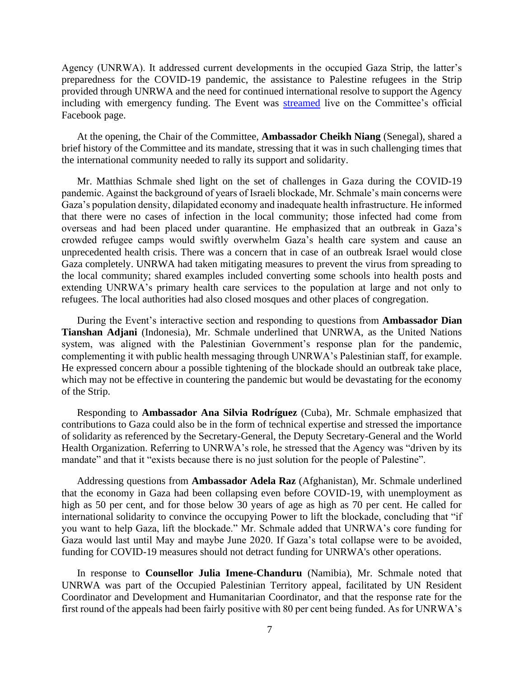Agency (UNRWA). It addressed current developments in the occupied Gaza Strip, the latter's preparedness for the COVID-19 pandemic, the assistance to Palestine refugees in the Strip provided through UNRWA and the need for continued international resolve to support the Agency including with emergency funding. The Event was [streamed](https://www.un.org/unispal/the-covid-19-pandemic-in-gaza-and-ways-to-mitigate-its-impact-on-palestine-refugees-conversation-with-matthias-schmale-unrwa-director-of-operations-in-gaza/) live on the Committee's official Facebook page.

At the opening, the Chair of the Committee, **Ambassador Cheikh Niang** (Senegal), shared a brief history of the Committee and its mandate, stressing that it was in such challenging times that the international community needed to rally its support and solidarity.

Mr. Matthias Schmale shed light on the set of challenges in Gaza during the COVID-19 pandemic. Against the background of years of Israeli blockade, Mr. Schmale's main concerns were Gaza's population density, dilapidated economy and inadequate health infrastructure. He informed that there were no cases of infection in the local community; those infected had come from overseas and had been placed under quarantine. He emphasized that an outbreak in Gaza's crowded refugee camps would swiftly overwhelm Gaza's health care system and cause an unprecedented health crisis. There was a concern that in case of an outbreak Israel would close Gaza completely. UNRWA had taken mitigating measures to prevent the virus from spreading to the local community; shared examples included converting some schools into health posts and extending UNRWA's primary health care services to the population at large and not only to refugees. The local authorities had also closed mosques and other places of congregation.

During the Event's interactive section and responding to questions from **Ambassador Dian Tianshan Adjani** (Indonesia), Mr. Schmale underlined that UNRWA, as the United Nations system, was aligned with the Palestinian Government's response plan for the pandemic, complementing it with public health messaging through UNRWA's Palestinian staff, for example. He expressed concern abour a possible tightening of the blockade should an outbreak take place, which may not be effective in countering the pandemic but would be devastating for the economy of the Strip.

Responding to **Ambassador Ana Silvia Rodríguez** (Cuba), Mr. Schmale emphasized that contributions to Gaza could also be in the form of technical expertise and stressed the importance of solidarity as referenced by the Secretary-General, the Deputy Secretary-General and the World Health Organization. Referring to UNRWA's role, he stressed that the Agency was "driven by its mandate" and that it "exists because there is no just solution for the people of Palestine".

Addressing questions from **Ambassador Adela Raz** (Afghanistan), Mr. Schmale underlined that the economy in Gaza had been collapsing even before COVID-19, with unemployment as high as 50 per cent, and for those below 30 years of age as high as 70 per cent. He called for international solidarity to convince the occupying Power to lift the blockade, concluding that "if you want to help Gaza, lift the blockade." Mr. Schmale added that UNRWA's core funding for Gaza would last until May and maybe June 2020. If Gaza's total collapse were to be avoided, funding for COVID-19 measures should not detract funding for UNRWA's other operations.

In response to **Counsellor Julia Imene-Chanduru** (Namibia), Mr. Schmale noted that UNRWA was part of the Occupied Palestinian Territory appeal, facilitated by UN Resident Coordinator and Development and Humanitarian Coordinator, and that the response rate for the first round of the appeals had been fairly positive with 80 per cent being funded. As for UNRWA's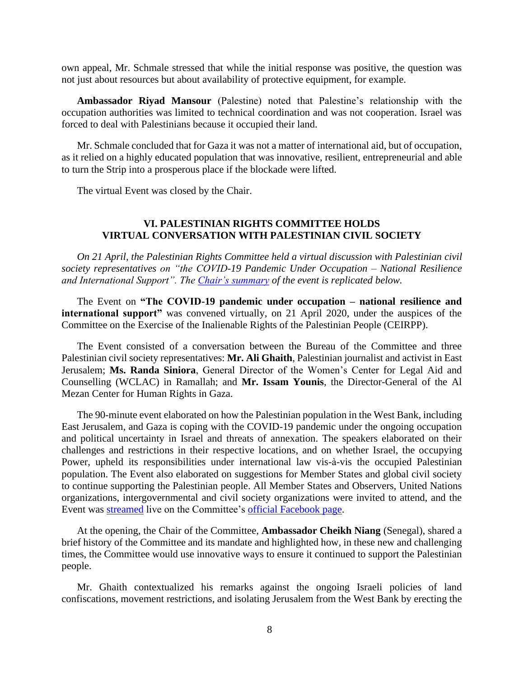own appeal, Mr. Schmale stressed that while the initial response was positive, the question was not just about resources but about availability of protective equipment, for example.

**Ambassador Riyad Mansour** (Palestine) noted that Palestine's relationship with the occupation authorities was limited to technical coordination and was not cooperation. Israel was forced to deal with Palestinians because it occupied their land.

Mr. Schmale concluded that for Gaza it was not a matter of international aid, but of occupation, as it relied on a highly educated population that was innovative, resilient, entrepreneurial and able to turn the Strip into a prosperous place if the blockade were lifted.

The virtual Event was closed by the Chair.

### **VI. PALESTINIAN RIGHTS COMMITTEE HOLDS VIRTUAL CONVERSATION WITH PALESTINIAN CIVIL SOCIETY**

*On 21 April, the Palestinian Rights Committee held a virtual discussion with Palestinian civil society representatives on "the COVID-19 Pandemic Under Occupation – National Resilience and International Support". The [Chair's summary](https://www.un.org/unispal/document/in-conversation-with-palestinian-civil-society-the-covid-19-pandemic-under-occupation-national-resilience-and-international-support-ceirpp-chairs-summary/) of the event is replicated below.*

The Event on **"The COVID-19 pandemic under occupation – national resilience and international support"** was convened virtually, on 21 April 2020, under the auspices of the Committee on the Exercise of the Inalienable Rights of the Palestinian People (CEIRPP).

The Event consisted of a conversation between the Bureau of the Committee and three Palestinian civil society representatives: **Mr. Ali Ghaith**, Palestinian journalist and activist in East Jerusalem; **Ms. Randa Siniora**, General Director of the Women's Center for Legal Aid and Counselling (WCLAC) in Ramallah; and **Mr. Issam Younis**, the Director-General of the Al Mezan Center for Human Rights in Gaza.

The 90-minute event elaborated on how the Palestinian population in the West Bank, including East Jerusalem, and Gaza is coping with the COVID-19 pandemic under the ongoing occupation and political uncertainty in Israel and threats of annexation. The speakers elaborated on their challenges and restrictions in their respective locations, and on whether Israel, the occupying Power, upheld its responsibilities under international law vis-à-vis the occupied Palestinian population. The Event also elaborated on suggestions for Member States and global civil society to continue supporting the Palestinian people. All Member States and Observers, United Nations organizations, intergovernmental and civil society organizations were invited to attend, and the Event was [streamed](https://youtu.be/CRW_igwYTl4) live on the Committee's [official Facebook page.](https://www.facebook.com/UN.palestinianrights/)

At the opening, the Chair of the Committee, **Ambassador Cheikh Niang** (Senegal), shared a brief history of the Committee and its mandate and highlighted how, in these new and challenging times, the Committee would use innovative ways to ensure it continued to support the Palestinian people.

Mr. Ghaith contextualized his remarks against the ongoing Israeli policies of land confiscations, movement restrictions, and isolating Jerusalem from the West Bank by erecting the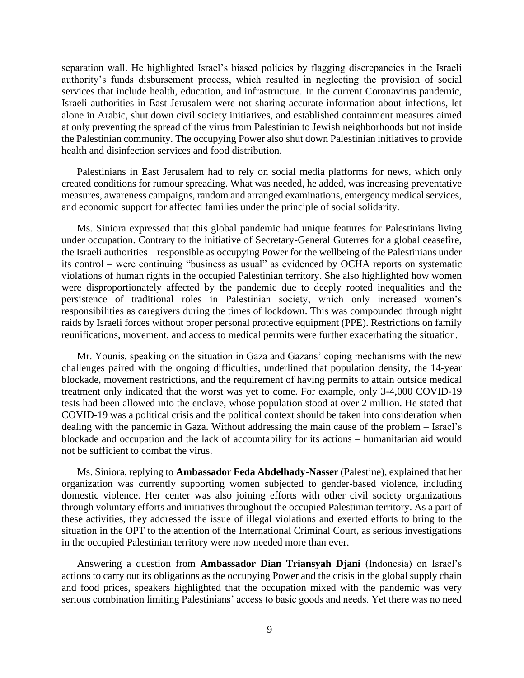separation wall. He highlighted Israel's biased policies by flagging discrepancies in the Israeli authority's funds disbursement process, which resulted in neglecting the provision of social services that include health, education, and infrastructure. In the current Coronavirus pandemic, Israeli authorities in East Jerusalem were not sharing accurate information about infections, let alone in Arabic, shut down civil society initiatives, and established containment measures aimed at only preventing the spread of the virus from Palestinian to Jewish neighborhoods but not inside the Palestinian community. The occupying Power also shut down Palestinian initiatives to provide health and disinfection services and food distribution.

Palestinians in East Jerusalem had to rely on social media platforms for news, which only created conditions for rumour spreading. What was needed, he added, was increasing preventative measures, awareness campaigns, random and arranged examinations, emergency medical services, and economic support for affected families under the principle of social solidarity.

Ms. Siniora expressed that this global pandemic had unique features for Palestinians living under occupation. Contrary to the initiative of Secretary-General Guterres for a global ceasefire, the Israeli authorities – responsible as occupying Power for the wellbeing of the Palestinians under its control – were continuing "business as usual" as evidenced by OCHA reports on systematic violations of human rights in the occupied Palestinian territory. She also highlighted how women were disproportionately affected by the pandemic due to deeply rooted inequalities and the persistence of traditional roles in Palestinian society, which only increased women's responsibilities as caregivers during the times of lockdown. This was compounded through night raids by Israeli forces without proper personal protective equipment (PPE). Restrictions on family reunifications, movement, and access to medical permits were further exacerbating the situation.

Mr. Younis, speaking on the situation in Gaza and Gazans' coping mechanisms with the new challenges paired with the ongoing difficulties, underlined that population density, the 14-year blockade, movement restrictions, and the requirement of having permits to attain outside medical treatment only indicated that the worst was yet to come. For example, only 3-4,000 COVID-19 tests had been allowed into the enclave, whose population stood at over 2 million. He stated that COVID-19 was a political crisis and the political context should be taken into consideration when dealing with the pandemic in Gaza. Without addressing the main cause of the problem – Israel's blockade and occupation and the lack of accountability for its actions – humanitarian aid would not be sufficient to combat the virus.

Ms. Siniora, replying to **Ambassador Feda Abdelhady-Nasser** (Palestine), explained that her organization was currently supporting women subjected to gender-based violence, including domestic violence. Her center was also joining efforts with other civil society organizations through voluntary efforts and initiatives throughout the occupied Palestinian territory. As a part of these activities, they addressed the issue of illegal violations and exerted efforts to bring to the situation in the OPT to the attention of the International Criminal Court, as serious investigations in the occupied Palestinian territory were now needed more than ever.

Answering a question from **Ambassador Dian Triansyah Djani** (Indonesia) on Israel's actions to carry out its obligations as the occupying Power and the crisis in the global supply chain and food prices, speakers highlighted that the occupation mixed with the pandemic was very serious combination limiting Palestinians' access to basic goods and needs. Yet there was no need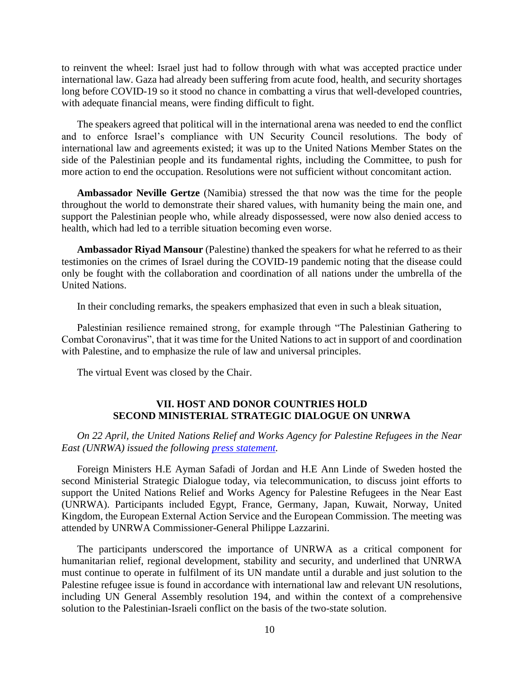to reinvent the wheel: Israel just had to follow through with what was accepted practice under international law. Gaza had already been suffering from acute food, health, and security shortages long before COVID-19 so it stood no chance in combatting a virus that well-developed countries, with adequate financial means, were finding difficult to fight.

The speakers agreed that political will in the international arena was needed to end the conflict and to enforce Israel's compliance with UN Security Council resolutions. The body of international law and agreements existed; it was up to the United Nations Member States on the side of the Palestinian people and its fundamental rights, including the Committee, to push for more action to end the occupation. Resolutions were not sufficient without concomitant action.

**Ambassador Neville Gertze** (Namibia) stressed the that now was the time for the people throughout the world to demonstrate their shared values, with humanity being the main one, and support the Palestinian people who, while already dispossessed, were now also denied access to health, which had led to a terrible situation becoming even worse.

**Ambassador Riyad Mansour** (Palestine) thanked the speakers for what he referred to as their testimonies on the crimes of Israel during the COVID-19 pandemic noting that the disease could only be fought with the collaboration and coordination of all nations under the umbrella of the United Nations.

In their concluding remarks, the speakers emphasized that even in such a bleak situation,

Palestinian resilience remained strong, for example through "The Palestinian Gathering to Combat Coronavirus", that it was time for the United Nations to act in support of and coordination with Palestine, and to emphasize the rule of law and universal principles.

The virtual Event was closed by the Chair.

# **VII. HOST AND DONOR COUNTRIES HOLD SECOND MINISTERIAL STRATEGIC DIALOGUE ON UNRWA**

*On 22 April, the United Nations Relief and Works Agency for Palestine Refugees in the Near East (UNRWA) issued the following [press statement.](https://www.un.org/unispal/document/second-ministerial-dialogue-on-unrwa-held-statement/)* 

Foreign Ministers H.E Ayman Safadi of Jordan and H.E Ann Linde of Sweden hosted the second Ministerial Strategic Dialogue today, via telecommunication, to discuss joint efforts to support the United Nations Relief and Works Agency for Palestine Refugees in the Near East (UNRWA). Participants included Egypt, France, Germany, Japan, Kuwait, Norway, United Kingdom, the European External Action Service and the European Commission. The meeting was attended by UNRWA Commissioner-General Philippe Lazzarini.

The participants underscored the importance of UNRWA as a critical component for humanitarian relief, regional development, stability and security, and underlined that UNRWA must continue to operate in fulfilment of its UN mandate until a durable and just solution to the Palestine refugee issue is found in accordance with international law and relevant UN resolutions, including UN General Assembly resolution 194, and within the context of a comprehensive solution to the Palestinian-Israeli conflict on the basis of the two-state solution.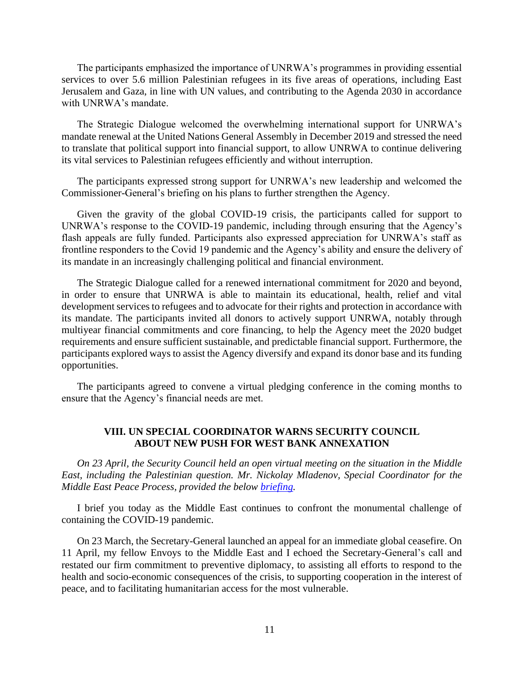The participants emphasized the importance of UNRWA's programmes in providing essential services to over 5.6 million Palestinian refugees in its five areas of operations, including East Jerusalem and Gaza, in line with UN values, and contributing to the Agenda 2030 in accordance with UNRWA's mandate.

The Strategic Dialogue welcomed the overwhelming international support for UNRWA's mandate renewal at the United Nations General Assembly in December 2019 and stressed the need to translate that political support into financial support, to allow UNRWA to continue delivering its vital services to Palestinian refugees efficiently and without interruption.

The participants expressed strong support for UNRWA's new leadership and welcomed the Commissioner-General's briefing on his plans to further strengthen the Agency.

Given the gravity of the global COVID-19 crisis, the participants called for support to UNRWA's response to the COVID-19 pandemic, including through ensuring that the Agency's flash appeals are fully funded. Participants also expressed appreciation for UNRWA's staff as frontline responders to the Covid 19 pandemic and the Agency's ability and ensure the delivery of its mandate in an increasingly challenging political and financial environment.

The Strategic Dialogue called for a renewed international commitment for 2020 and beyond, in order to ensure that UNRWA is able to maintain its educational, health, relief and vital development services to refugees and to advocate for their rights and protection in accordance with its mandate. The participants invited all donors to actively support UNRWA, notably through multiyear financial commitments and core financing, to help the Agency meet the 2020 budget requirements and ensure sufficient sustainable, and predictable financial support. Furthermore, the participants explored ways to assist the Agency diversify and expand its donor base and its funding opportunities.

The participants agreed to convene a virtual pledging conference in the coming months to ensure that the Agency's financial needs are met.

# **VIII. UN SPECIAL COORDINATOR WARNS SECURITY COUNCIL ABOUT NEW PUSH FOR WEST BANK ANNEXATION**

*On 23 April, the Security Council held an open virtual meeting on the situation in the Middle East, including the Palestinian question. Mr. Nickolay Mladenov, Special Coordinator for the Middle East Peace Process, provided the below [briefing.](https://www.un.org/unispal/document/special-coordinator-mladenovs-briefing-to-the-security-council-on-the-situation-in-the-middle-east-3/)* 

I brief you today as the Middle East continues to confront the monumental challenge of containing the COVID-19 pandemic.

On 23 March, the Secretary-General launched an appeal for an immediate global ceasefire. On 11 April, my fellow Envoys to the Middle East and I echoed the Secretary-General's call and restated our firm commitment to preventive diplomacy, to assisting all efforts to respond to the health and socio-economic consequences of the crisis, to supporting cooperation in the interest of peace, and to facilitating humanitarian access for the most vulnerable.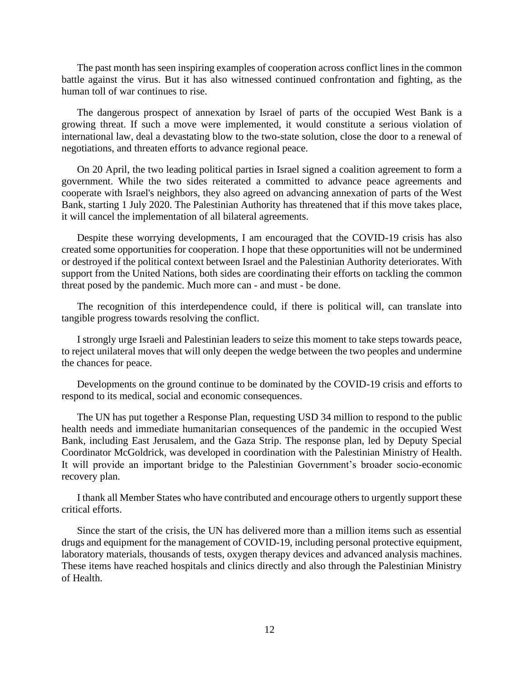The past month has seen inspiring examples of cooperation across conflict lines in the common battle against the virus. But it has also witnessed continued confrontation and fighting, as the human toll of war continues to rise.

The dangerous prospect of annexation by Israel of parts of the occupied West Bank is a growing threat. If such a move were implemented, it would constitute a serious violation of international law, deal a devastating blow to the two-state solution, close the door to a renewal of negotiations, and threaten efforts to advance regional peace.

On 20 April, the two leading political parties in Israel signed a coalition agreement to form a government. While the two sides reiterated a committed to advance peace agreements and cooperate with Israel's neighbors, they also agreed on advancing annexation of parts of the West Bank, starting 1 July 2020. The Palestinian Authority has threatened that if this move takes place, it will cancel the implementation of all bilateral agreements.

Despite these worrying developments, I am encouraged that the COVID-19 crisis has also created some opportunities for cooperation. I hope that these opportunities will not be undermined or destroyed if the political context between Israel and the Palestinian Authority deteriorates. With support from the United Nations, both sides are coordinating their efforts on tackling the common threat posed by the pandemic. Much more can - and must - be done.

The recognition of this interdependence could, if there is political will, can translate into tangible progress towards resolving the conflict.

I strongly urge Israeli and Palestinian leaders to seize this moment to take steps towards peace, to reject unilateral moves that will only deepen the wedge between the two peoples and undermine the chances for peace.

Developments on the ground continue to be dominated by the COVID-19 crisis and efforts to respond to its medical, social and economic consequences.

The UN has put together a Response Plan, requesting USD 34 million to respond to the public health needs and immediate humanitarian consequences of the pandemic in the occupied West Bank, including East Jerusalem, and the Gaza Strip. The response plan, led by Deputy Special Coordinator McGoldrick, was developed in coordination with the Palestinian Ministry of Health. It will provide an important bridge to the Palestinian Government's broader socio-economic recovery plan.

I thank all Member States who have contributed and encourage others to urgently support these critical efforts.

Since the start of the crisis, the UN has delivered more than a million items such as essential drugs and equipment for the management of COVID-19, including personal protective equipment, laboratory materials, thousands of tests, oxygen therapy devices and advanced analysis machines. These items have reached hospitals and clinics directly and also through the Palestinian Ministry of Health.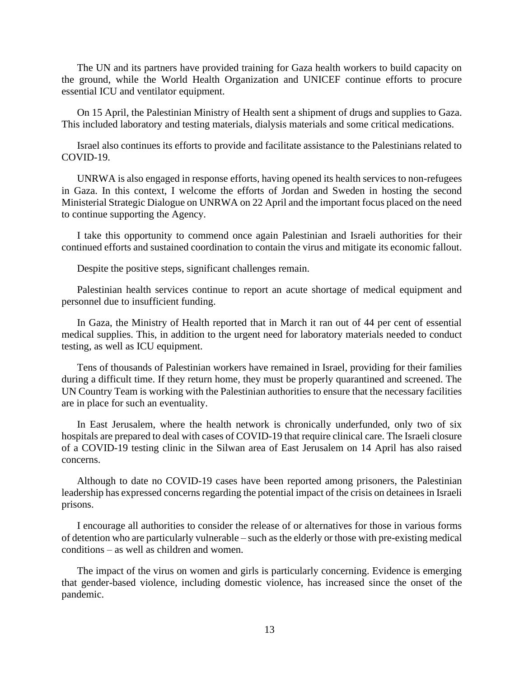The UN and its partners have provided training for Gaza health workers to build capacity on the ground, while the World Health Organization and UNICEF continue efforts to procure essential ICU and ventilator equipment.

On 15 April, the Palestinian Ministry of Health sent a shipment of drugs and supplies to Gaza. This included laboratory and testing materials, dialysis materials and some critical medications.

Israel also continues its efforts to provide and facilitate assistance to the Palestinians related to COVID-19.

UNRWA is also engaged in response efforts, having opened its health services to non-refugees in Gaza. In this context, I welcome the efforts of Jordan and Sweden in hosting the second Ministerial Strategic Dialogue on UNRWA on 22 April and the important focus placed on the need to continue supporting the Agency.

I take this opportunity to commend once again Palestinian and Israeli authorities for their continued efforts and sustained coordination to contain the virus and mitigate its economic fallout.

Despite the positive steps, significant challenges remain.

Palestinian health services continue to report an acute shortage of medical equipment and personnel due to insufficient funding.

In Gaza, the Ministry of Health reported that in March it ran out of 44 per cent of essential medical supplies. This, in addition to the urgent need for laboratory materials needed to conduct testing, as well as ICU equipment.

Tens of thousands of Palestinian workers have remained in Israel, providing for their families during a difficult time. If they return home, they must be properly quarantined and screened. The UN Country Team is working with the Palestinian authorities to ensure that the necessary facilities are in place for such an eventuality.

In East Jerusalem, where the health network is chronically underfunded, only two of six hospitals are prepared to deal with cases of COVID-19 that require clinical care. The Israeli closure of a COVID-19 testing clinic in the Silwan area of East Jerusalem on 14 April has also raised concerns.

Although to date no COVID-19 cases have been reported among prisoners, the Palestinian leadership has expressed concerns regarding the potential impact of the crisis on detainees in Israeli prisons.

I encourage all authorities to consider the release of or alternatives for those in various forms of detention who are particularly vulnerable – such as the elderly or those with pre-existing medical conditions – as well as children and women.

The impact of the virus on women and girls is particularly concerning. Evidence is emerging that gender-based violence, including domestic violence, has increased since the onset of the pandemic.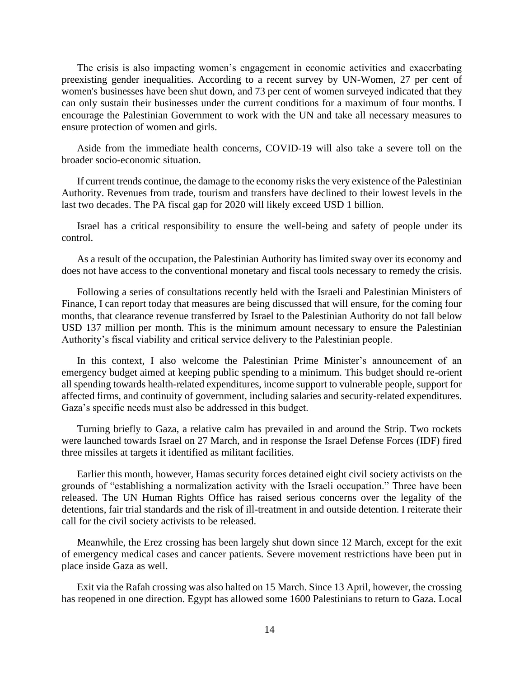The crisis is also impacting women's engagement in economic activities and exacerbating preexisting gender inequalities. According to a recent survey by UN-Women, 27 per cent of women's businesses have been shut down, and 73 per cent of women surveyed indicated that they can only sustain their businesses under the current conditions for a maximum of four months. I encourage the Palestinian Government to work with the UN and take all necessary measures to ensure protection of women and girls.

Aside from the immediate health concerns, COVID-19 will also take a severe toll on the broader socio-economic situation.

If current trends continue, the damage to the economy risks the very existence of the Palestinian Authority. Revenues from trade, tourism and transfers have declined to their lowest levels in the last two decades. The PA fiscal gap for 2020 will likely exceed USD 1 billion.

Israel has a critical responsibility to ensure the well-being and safety of people under its control.

As a result of the occupation, the Palestinian Authority has limited sway over its economy and does not have access to the conventional monetary and fiscal tools necessary to remedy the crisis.

Following a series of consultations recently held with the Israeli and Palestinian Ministers of Finance, I can report today that measures are being discussed that will ensure, for the coming four months, that clearance revenue transferred by Israel to the Palestinian Authority do not fall below USD 137 million per month. This is the minimum amount necessary to ensure the Palestinian Authority's fiscal viability and critical service delivery to the Palestinian people.

In this context, I also welcome the Palestinian Prime Minister's announcement of an emergency budget aimed at keeping public spending to a minimum. This budget should re-orient all spending towards health-related expenditures, income support to vulnerable people, support for affected firms, and continuity of government, including salaries and security-related expenditures. Gaza's specific needs must also be addressed in this budget.

Turning briefly to Gaza, a relative calm has prevailed in and around the Strip. Two rockets were launched towards Israel on 27 March, and in response the Israel Defense Forces (IDF) fired three missiles at targets it identified as militant facilities.

Earlier this month, however, Hamas security forces detained eight civil society activists on the grounds of "establishing a normalization activity with the Israeli occupation." Three have been released. The UN Human Rights Office has raised serious concerns over the legality of the detentions, fair trial standards and the risk of ill-treatment in and outside detention. I reiterate their call for the civil society activists to be released.

Meanwhile, the Erez crossing has been largely shut down since 12 March, except for the exit of emergency medical cases and cancer patients. Severe movement restrictions have been put in place inside Gaza as well.

Exit via the Rafah crossing was also halted on 15 March. Since 13 April, however, the crossing has reopened in one direction. Egypt has allowed some 1600 Palestinians to return to Gaza. Local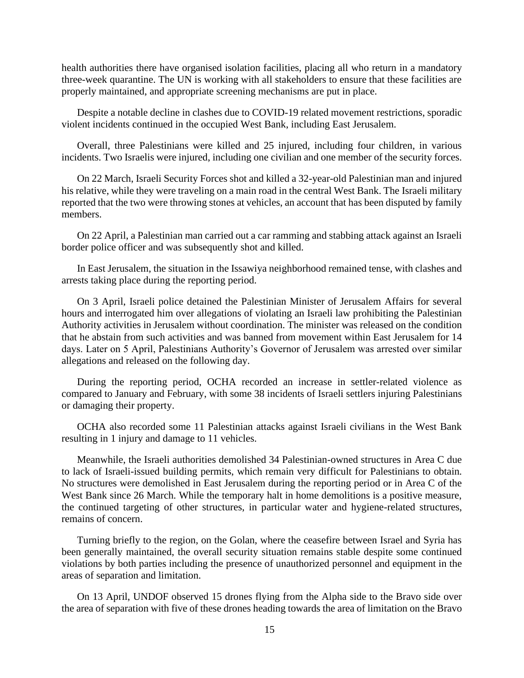health authorities there have organised isolation facilities, placing all who return in a mandatory three-week quarantine. The UN is working with all stakeholders to ensure that these facilities are properly maintained, and appropriate screening mechanisms are put in place.

Despite a notable decline in clashes due to COVID-19 related movement restrictions, sporadic violent incidents continued in the occupied West Bank, including East Jerusalem.

Overall, three Palestinians were killed and 25 injured, including four children, in various incidents. Two Israelis were injured, including one civilian and one member of the security forces.

On 22 March, Israeli Security Forces shot and killed a 32-year-old Palestinian man and injured his relative, while they were traveling on a main road in the central West Bank. The Israeli military reported that the two were throwing stones at vehicles, an account that has been disputed by family members.

On 22 April, a Palestinian man carried out a car ramming and stabbing attack against an Israeli border police officer and was subsequently shot and killed.

In East Jerusalem, the situation in the Issawiya neighborhood remained tense, with clashes and arrests taking place during the reporting period.

On 3 April, Israeli police detained the Palestinian Minister of Jerusalem Affairs for several hours and interrogated him over allegations of violating an Israeli law prohibiting the Palestinian Authority activities in Jerusalem without coordination. The minister was released on the condition that he abstain from such activities and was banned from movement within East Jerusalem for 14 days. Later on 5 April, Palestinians Authority's Governor of Jerusalem was arrested over similar allegations and released on the following day.

During the reporting period, OCHA recorded an increase in settler-related violence as compared to January and February, with some 38 incidents of Israeli settlers injuring Palestinians or damaging their property.

OCHA also recorded some 11 Palestinian attacks against Israeli civilians in the West Bank resulting in 1 injury and damage to 11 vehicles.

Meanwhile, the Israeli authorities demolished 34 Palestinian-owned structures in Area C due to lack of Israeli-issued building permits, which remain very difficult for Palestinians to obtain. No structures were demolished in East Jerusalem during the reporting period or in Area C of the West Bank since 26 March. While the temporary halt in home demolitions is a positive measure, the continued targeting of other structures, in particular water and hygiene-related structures, remains of concern.

Turning briefly to the region, on the Golan, where the ceasefire between Israel and Syria has been generally maintained, the overall security situation remains stable despite some continued violations by both parties including the presence of unauthorized personnel and equipment in the areas of separation and limitation.

On 13 April, UNDOF observed 15 drones flying from the Alpha side to the Bravo side over the area of separation with five of these drones heading towards the area of limitation on the Bravo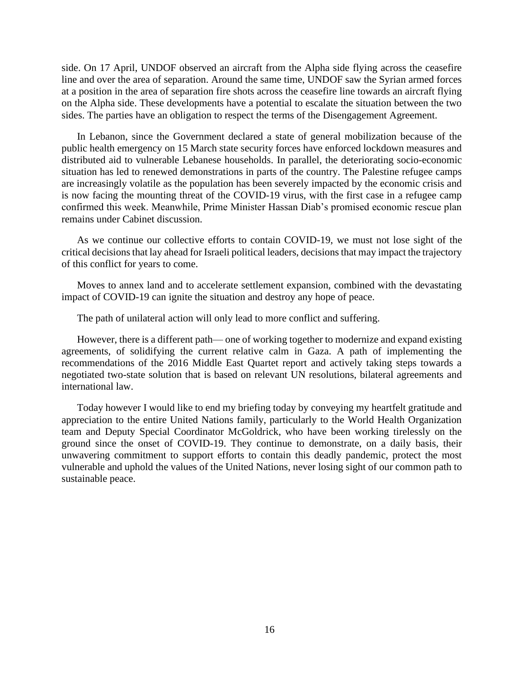side. On 17 April, UNDOF observed an aircraft from the Alpha side flying across the ceasefire line and over the area of separation. Around the same time, UNDOF saw the Syrian armed forces at a position in the area of separation fire shots across the ceasefire line towards an aircraft flying on the Alpha side. These developments have a potential to escalate the situation between the two sides. The parties have an obligation to respect the terms of the Disengagement Agreement.

In Lebanon, since the Government declared a state of general mobilization because of the public health emergency on 15 March state security forces have enforced lockdown measures and distributed aid to vulnerable Lebanese households. In parallel, the deteriorating socio-economic situation has led to renewed demonstrations in parts of the country. The Palestine refugee camps are increasingly volatile as the population has been severely impacted by the economic crisis and is now facing the mounting threat of the COVID-19 virus, with the first case in a refugee camp confirmed this week. Meanwhile, Prime Minister Hassan Diab's promised economic rescue plan remains under Cabinet discussion.

As we continue our collective efforts to contain COVID-19, we must not lose sight of the critical decisions that lay ahead for Israeli political leaders, decisions that may impact the trajectory of this conflict for years to come.

Moves to annex land and to accelerate settlement expansion, combined with the devastating impact of COVID-19 can ignite the situation and destroy any hope of peace.

The path of unilateral action will only lead to more conflict and suffering.

However, there is a different path— one of working together to modernize and expand existing agreements, of solidifying the current relative calm in Gaza. A path of implementing the recommendations of the 2016 Middle East Quartet report and actively taking steps towards a negotiated two-state solution that is based on relevant UN resolutions, bilateral agreements and international law.

Today however I would like to end my briefing today by conveying my heartfelt gratitude and appreciation to the entire United Nations family, particularly to the World Health Organization team and Deputy Special Coordinator McGoldrick, who have been working tirelessly on the ground since the onset of COVID-19. They continue to demonstrate, on a daily basis, their unwavering commitment to support efforts to contain this deadly pandemic, protect the most vulnerable and uphold the values of the United Nations, never losing sight of our common path to sustainable peace.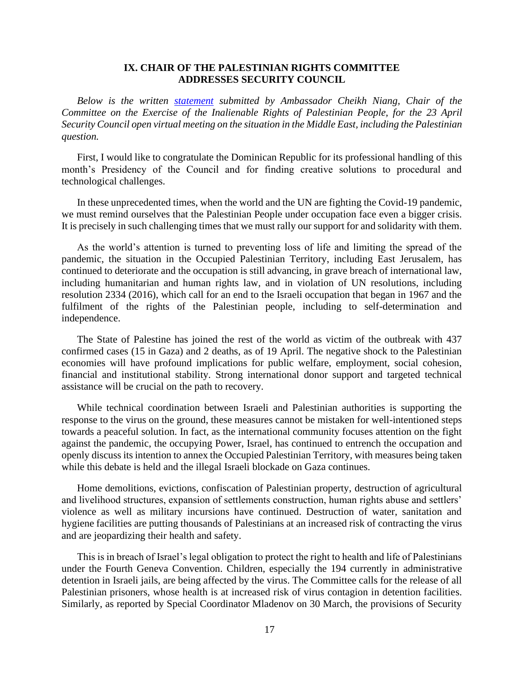### **IX. CHAIR OF THE PALESTINIAN RIGHTS COMMITTEE ADDRESSES SECURITY COUNCIL**

*Below is the written [statement](https://www.un.org/unispal/document/statement-by-chair-of-the-palestinian-rights-committee-at-security-council-open-debate-3/) submitted by Ambassador Cheikh Niang, Chair of the Committee on the Exercise of the Inalienable Rights of Palestinian People, for the 23 April Security Council open virtual meeting on the situation in the Middle East, including the Palestinian question.*

First, I would like to congratulate the Dominican Republic for its professional handling of this month's Presidency of the Council and for finding creative solutions to procedural and technological challenges.

In these unprecedented times, when the world and the UN are fighting the Covid-19 pandemic, we must remind ourselves that the Palestinian People under occupation face even a bigger crisis. It is precisely in such challenging times that we must rally our support for and solidarity with them.

As the world's attention is turned to preventing loss of life and limiting the spread of the pandemic, the situation in the Occupied Palestinian Territory, including East Jerusalem, has continued to deteriorate and the occupation is still advancing, in grave breach of international law, including humanitarian and human rights law, and in violation of UN resolutions, including resolution 2334 (2016), which call for an end to the Israeli occupation that began in 1967 and the fulfilment of the rights of the Palestinian people, including to self-determination and independence.

The State of Palestine has joined the rest of the world as victim of the outbreak with 437 confirmed cases (15 in Gaza) and 2 deaths, as of 19 April. The negative shock to the Palestinian economies will have profound implications for public welfare, employment, social cohesion, financial and institutional stability. Strong international donor support and targeted technical assistance will be crucial on the path to recovery.

While technical coordination between Israeli and Palestinian authorities is supporting the response to the virus on the ground, these measures cannot be mistaken for well-intentioned steps towards a peaceful solution. In fact, as the international community focuses attention on the fight against the pandemic, the occupying Power, Israel, has continued to entrench the occupation and openly discuss its intention to annex the Occupied Palestinian Territory, with measures being taken while this debate is held and the illegal Israeli blockade on Gaza continues.

Home demolitions, evictions, confiscation of Palestinian property, destruction of agricultural and livelihood structures, expansion of settlements construction, human rights abuse and settlers' violence as well as military incursions have continued. Destruction of water, sanitation and hygiene facilities are putting thousands of Palestinians at an increased risk of contracting the virus and are jeopardizing their health and safety.

This is in breach of Israel's legal obligation to protect the right to health and life of Palestinians under the Fourth Geneva Convention. Children, especially the 194 currently in administrative detention in Israeli jails, are being affected by the virus. The Committee calls for the release of all Palestinian prisoners, whose health is at increased risk of virus contagion in detention facilities. Similarly, as reported by Special Coordinator Mladenov on 30 March, the provisions of Security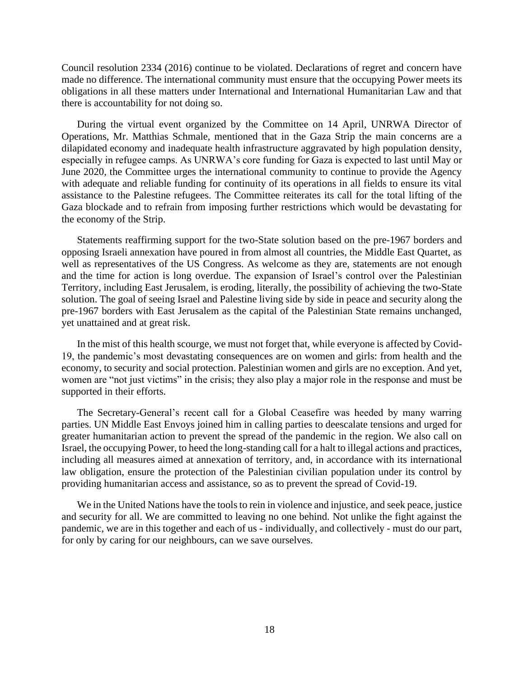Council resolution 2334 (2016) continue to be violated. Declarations of regret and concern have made no difference. The international community must ensure that the occupying Power meets its obligations in all these matters under International and International Humanitarian Law and that there is accountability for not doing so.

During the virtual event organized by the Committee on 14 April, UNRWA Director of Operations, Mr. Matthias Schmale, mentioned that in the Gaza Strip the main concerns are a dilapidated economy and inadequate health infrastructure aggravated by high population density, especially in refugee camps. As UNRWA's core funding for Gaza is expected to last until May or June 2020, the Committee urges the international community to continue to provide the Agency with adequate and reliable funding for continuity of its operations in all fields to ensure its vital assistance to the Palestine refugees. The Committee reiterates its call for the total lifting of the Gaza blockade and to refrain from imposing further restrictions which would be devastating for the economy of the Strip.

Statements reaffirming support for the two-State solution based on the pre-1967 borders and opposing Israeli annexation have poured in from almost all countries, the Middle East Quartet, as well as representatives of the US Congress. As welcome as they are, statements are not enough and the time for action is long overdue. The expansion of Israel's control over the Palestinian Territory, including East Jerusalem, is eroding, literally, the possibility of achieving the two-State solution. The goal of seeing Israel and Palestine living side by side in peace and security along the pre-1967 borders with East Jerusalem as the capital of the Palestinian State remains unchanged, yet unattained and at great risk.

In the mist of this health scourge, we must not forget that, while everyone is affected by Covid-19, the pandemic's most devastating consequences are on women and girls: from health and the economy, to security and social protection. Palestinian women and girls are no exception. And yet, women are "not just victims" in the crisis; they also play a major role in the response and must be supported in their efforts.

The Secretary-General's recent call for a Global Ceasefire was heeded by many warring parties. UN Middle East Envoys joined him in calling parties to deescalate tensions and urged for greater humanitarian action to prevent the spread of the pandemic in the region. We also call on Israel, the occupying Power, to heed the long-standing call for a halt to illegal actions and practices, including all measures aimed at annexation of territory, and, in accordance with its international law obligation, ensure the protection of the Palestinian civilian population under its control by providing humanitarian access and assistance, so as to prevent the spread of Covid-19.

We in the United Nations have the tools to rein in violence and injustice, and seek peace, justice and security for all. We are committed to leaving no one behind. Not unlike the fight against the pandemic, we are in this together and each of us - individually, and collectively - must do our part, for only by caring for our neighbours, can we save ourselves.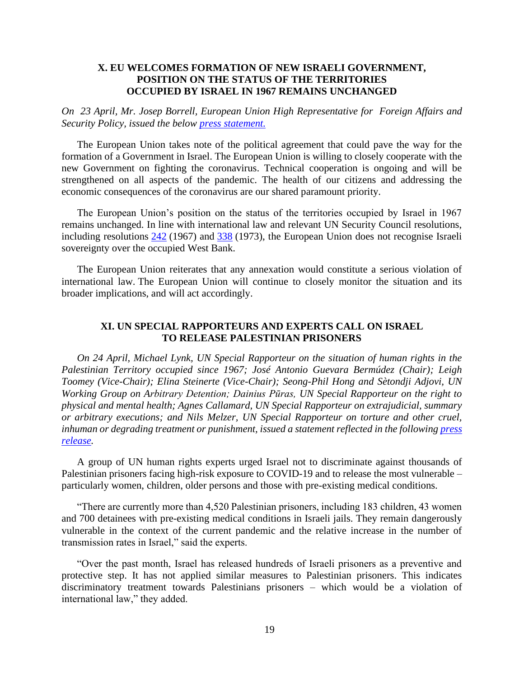# **X. EU WELCOMES FORMATION OF NEW ISRAELI GOVERNMENT, POSITION ON THE STATUS OF THE TERRITORIES OCCUPIED BY ISRAEL IN 1967 REMAINS UNCHANGED**

*On 23 April, Mr. Josep Borrell, European Union High Representative for Foreign Affairs and Security Policy, issued the below [press statement.](https://www.un.org/unispal/document/eu-welcomes-formation-of-new-israeli-government-position-on-the-status-of-the-territories-occupied-by-israel-in-1967-remains-unchanged-statement/)*

The European Union takes note of the political agreement that could pave the way for the formation of a Government in Israel. The European Union is willing to closely cooperate with the new Government on fighting the coronavirus. Technical cooperation is ongoing and will be strengthened on all aspects of the pandemic. The health of our citizens and addressing the economic consequences of the coronavirus are our shared paramount priority.

The European Union's position on the status of the territories occupied by Israel in 1967 remains unchanged. In line with international law and relevant UN Security Council resolutions, including resolutions [242](https://www.un.org/unispal/document/auto-insert-184858/) (1967) and [338](https://www.un.org/unispal/document/auto-insert-185881/) (1973), the European Union does not recognise Israeli sovereignty over the occupied West Bank.

The European Union reiterates that any annexation would constitute a serious violation of international law. The European Union will continue to closely monitor the situation and its broader implications, and will act accordingly.

# **XI. UN SPECIAL RAPPORTEURS AND EXPERTS CALL ON ISRAEL TO RELEASE PALESTINIAN PRISONERS**

*On 24 April, Michael Lynk, UN Special Rapporteur on the situation of human rights in the Palestinian Territory occupied since 1967; José Antonio Guevara Bermúdez (Chair); Leigh Toomey (Vice-Chair); Elina Steinerte (Vice-Chair); Seong-Phil Hong and Sètondji Adjovi, UN Working Group on Arbitrary Detention; Dainius Pūras, UN Special Rapporteur on the right to physical and mental health; Agnes Callamard, UN Special Rapporteur on extrajudicial, summary or arbitrary executions; and Nils Melzer, UN Special Rapporteur on torture and other cruel, inhuman or degrading treatment or punishment, issued a statement reflected in the followin[g press](https://www.un.org/unispal/document/covid-19-israel-must-release-palestinian-prisoners-in-vulnerable-situation-say-un-experts-press-release/)  [release.](https://www.un.org/unispal/document/covid-19-israel-must-release-palestinian-prisoners-in-vulnerable-situation-say-un-experts-press-release/)*

A group of UN human rights experts urged Israel not to discriminate against thousands of Palestinian prisoners facing high-risk exposure to COVID-19 and to release the most vulnerable – particularly women, children, older persons and those with pre-existing medical conditions.

"There are currently more than 4,520 Palestinian prisoners, including 183 children, 43 women and 700 detainees with pre-existing medical conditions in Israeli jails. They remain dangerously vulnerable in the context of the current pandemic and the relative increase in the number of transmission rates in Israel," said the experts.

"Over the past month, Israel has released hundreds of Israeli prisoners as a preventive and protective step. It has not applied similar measures to Palestinian prisoners. This indicates discriminatory treatment towards Palestinians prisoners – which would be a violation of international law," they added.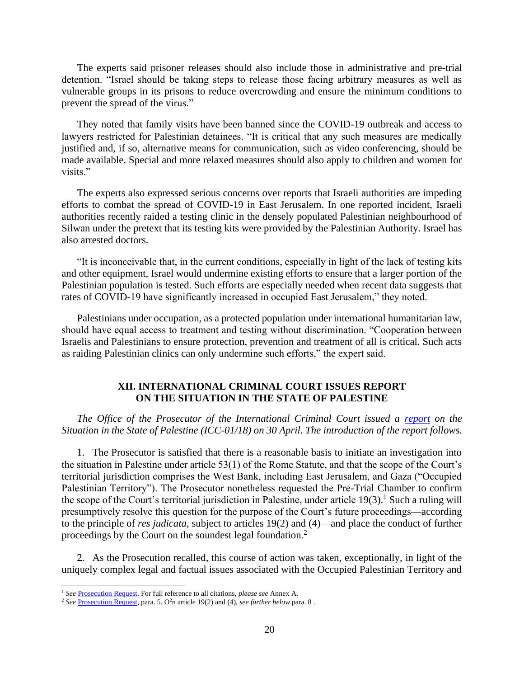The experts said prisoner releases should also include those in administrative and pre-trial detention. "Israel should be taking steps to release those facing arbitrary measures as well as vulnerable groups in its prisons to reduce overcrowding and ensure the minimum conditions to prevent the spread of the virus."

They noted that family visits have been banned since the COVID-19 outbreak and access to lawyers restricted for Palestinian detainees. "It is critical that any such measures are medically justified and, if so, alternative means for communication, such as video conferencing, should be made available. Special and more relaxed measures should also apply to children and women for visits."

The experts also expressed serious concerns over reports that Israeli authorities are impeding efforts to combat the spread of COVID-19 in East Jerusalem. In one reported incident, Israeli authorities recently raided a testing clinic in the densely populated Palestinian neighbourhood of Silwan under the pretext that its testing kits were provided by the Palestinian Authority. Israel has also arrested doctors.

"It is inconceivable that, in the current conditions, especially in light of the lack of testing kits and other equipment, Israel would undermine existing efforts to ensure that a larger portion of the Palestinian population is tested. Such efforts are especially needed when recent data suggests that rates of COVID-19 have significantly increased in occupied East Jerusalem," they noted.

Palestinians under occupation, as a protected population under international humanitarian law, should have equal access to treatment and testing without discrimination. "Cooperation between Israelis and Palestinians to ensure protection, prevention and treatment of all is critical. Such acts as raiding Palestinian clinics can only undermine such efforts," the expert said.

# **XII. INTERNATIONAL CRIMINAL COURT ISSUES REPORT ON THE SITUATION IN THE STATE OF PALESTINE**

*The Office of the Prosecutor of the International Criminal Court issued a [report](https://www.un.org/unispal/document/situation-in-the-state-of-palestine-icc-document/) on the Situation in the State of Palestine (ICC-01/18) on 30 April. The introduction of the report follows.*

1. The Prosecutor is satisfied that there is a reasonable basis to initiate an investigation into the situation in Palestine under article 53(1) of the Rome Statute, and that the scope of the Court's territorial jurisdiction comprises the West Bank, including East Jerusalem, and Gaza ("Occupied Palestinian Territory"). The Prosecutor nonetheless requested the Pre-Trial Chamber to confirm the scope of the Court's territorial jurisdiction in Palestine, under article  $19(3)$ .<sup>1</sup> Such a ruling will presumptively resolve this question for the purpose of the Court's future proceedings—according to the principle of *res judicata*, subject to articles 19(2) and (4)—and place the conduct of further proceedings by the Court on the soundest legal foundation.<sup>2</sup>

2. As the Prosecution recalled, this course of action was taken, exceptionally, in light of the uniquely complex legal and factual issues associated with the Occupied Palestinian Territory and

<sup>1</sup> *See* [Prosecution Request.](https://legal-tools.org/doc/clur6w/pdf/) For full reference to all citations, *please see* Annex A.

<sup>&</sup>lt;sup>2</sup> See [Prosecution Request,](https://legal-tools.org/doc/clur6w/pdf/) para. 5. O<sup>2</sup>n article 19(2) and (4), *see further below* para. 8.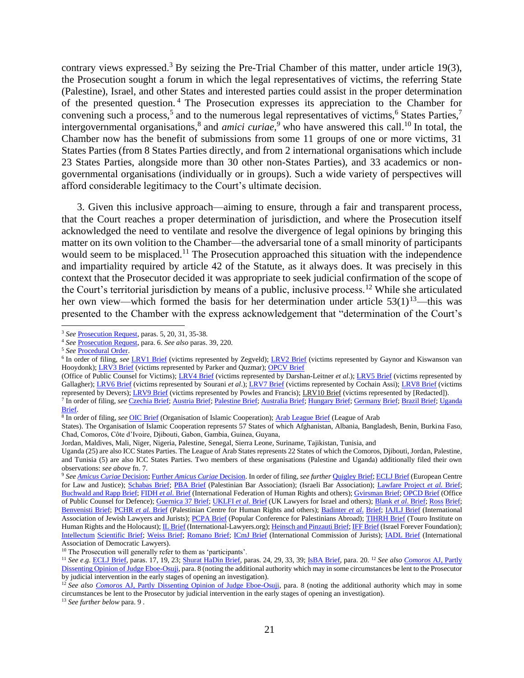contrary views expressed.<sup>3</sup> By seizing the Pre-Trial Chamber of this matter, under article 19(3), the Prosecution sought a forum in which the legal representatives of victims, the referring State (Palestine), Israel, and other States and interested parties could assist in the proper determination of the presented question. <sup>4</sup> The Prosecution expresses its appreciation to the Chamber for convening such a process,<sup>5</sup> and to the numerous legal representatives of victims,<sup>6</sup> States Parties,<sup>7</sup> intergovernmental organisations,<sup>8</sup> and *amici curiae*,<sup>9</sup> who have answered this call.<sup>10</sup> In total, the Chamber now has the benefit of submissions from some 11 groups of one or more victims, 31 States Parties (from 8 States Parties directly, and from 2 international organisations which include 23 States Parties, alongside more than 30 other non-States Parties), and 33 academics or nongovernmental organisations (individually or in groups). Such a wide variety of perspectives will afford considerable legitimacy to the Court's ultimate decision.

3. Given this inclusive approach—aiming to ensure, through a fair and transparent process, that the Court reaches a proper determination of jurisdiction, and where the Prosecution itself acknowledged the need to ventilate and resolve the divergence of legal opinions by bringing this matter on its own volition to the Chamber—the adversarial tone of a small minority of participants would seem to be misplaced.<sup>11</sup> The Prosecution approached this situation with the independence and impartiality required by article 42 of the Statute, as it always does. It was precisely in this context that the Prosecutor decided it was appropriate to seek judicial confirmation of the scope of the Court's territorial jurisdiction by means of a public, inclusive process.<sup>12</sup> While she articulated her own view—which formed the basis for her determination under article  $53(1)^{13}$ —this was presented to the Chamber with the express acknowledgement that "determination of the Court's

<sup>10</sup> The Prosecution will generally refer to them as 'participants'.

<sup>13</sup> *See further below* para. 9 .

<sup>3</sup> *See* [Prosecution Request,](https://legal-tools.org/doc/clur6w/pdf/) paras. 5, 20, 31, 35-38.

<sup>4</sup> *See* [Prosecution Request,](https://legal-tools.org/doc/clur6w/pdf/) para. 6. *See also* paras. 39, 220.

<sup>5</sup> *See* [Procedural Order.](https://legal-tools.org/doc/yfd939/pdf/)

<sup>&</sup>lt;sup>6</sup> In order of filing, *see* LRV1 Brief (victims represented by Zegveld); [LRV2 Brief](https://legal-tools.org/doc/bnjdge/pdf/) (victims represented by Gaynor and Kiswanson van Hooydonk)[; LRV3 Brief](https://legal-tools.org/doc/p7wktr/pdf/) (victims represented by Parker and Quzmar)[; OPCV Brief](https://legal-tools.org/doc/egrppy/pdf/)

<sup>(</sup>Office of Public Counsel for Victims)[; LRV4 Brief](https://legal-tools.org/doc/ncfygo/pdf/) (victims represented by Darshan-Leitner *et al*.)[; LRV5 Brief](https://legal-tools.org/doc/arg1lq/pdf/) (victims represented by Gallagher); [LRV6 Brief](https://legal-tools.org/doc/2tpwqe/pdf/) [\(](https://legal-tools.org/doc/2tpwqe/pdf/)victims represented by Sourani *et al*.); [LRV7 Brief](https://legal-tools.org/doc/gcd3sn/pdf/) (victims represented by Cochain Assi)[; LRV8 Brief](https://legal-tools.org/doc/ua8a94/pdf/) (victims represented by Devers)[; LRV9 Brief](https://legal-tools.org/doc/k2cxzw/pdf/) [\(](https://legal-tools.org/doc/k2cxzw/pdf/)victims represented by Powles and Francis); LRV10 Brief (victims represented by [Redacted]). 7 In order of filing, *see* [Czechia Brief;](https://legal-tools.org/doc/7qm3y8/pdf/) [Austria](https://legal-tools.org/doc/sz7bcl/pdf/) Brie[f;](https://legal-tools.org/doc/sz7bcl/pdf/) [Palestine Brief;](https://legal-tools.org/doc/rad5hs/pdf/) [Australia Brief;](https://legal-tools.org/doc/9db2qf/pdf/) [Hungary Brief;](https://legal-tools.org/doc/g74etu/pdf/) [Germany](https://legal-tools.org/doc/8bwxco/pdf/) [Brief;](https://legal-tools.org/doc/8bwxco/pdf/) [Brazil Brief;](https://legal-tools.org/doc/u96u9u/pdf/) [Uganda](https://legal-tools.org/doc/rvaogc/pdf/)  [Brief.](https://legal-tools.org/doc/rvaogc/pdf/)

<sup>8</sup> In order of filing, *see* [OIC Brief](https://legal-tools.org/doc/q7qdeg/pdf/) [\(](https://legal-tools.org/doc/q7qdeg/pdf/)Organisation of Islamic Cooperation); [Arab League Brief](https://legal-tools.org/doc/8pbbns/pdf/) (League of Arab

States). The Organisation of Islamic Cooperation represents 57 States of which Afghanistan, Albania, Bangladesh, Benin, Burkina Faso, Chad, Comoros, Côte d'Ivoire, Djibouti, Gabon, Gambia, Guinea, Guyana,

Jordan, Maldives, Mali, Niger, Nigeria, Palestine, Senegal, Sierra Leone, Suriname, Tajikistan, Tunisia, and

Uganda (25) are also ICC States Parties. The League of Arab States represents 22 States of which the Comoros, Djibouti, Jordan, Palestine, and Tunisia (5) are also ICC States Parties. Two members of these organisations (Palestine and Uganda) additionally filed their own observations: *see above* fn. 7.

<sup>9</sup> *Se[e](https://legal-tools.org/doc/cpsou4/pdf/) [Amicus Curiae](https://legal-tools.org/doc/cpsou4/pdf/)* [Decision;](https://legal-tools.org/doc/cpsou4/pdf/) [Further](https://legal-tools.org/doc/jq2swr/pdf/) *[Amicus Curiae](https://legal-tools.org/doc/jq2swr/pdf/)* [Decision.](https://legal-tools.org/doc/jq2swr/pdf/) In order of filing, *see further* [Quigley Brief;](https://legal-tools.org/doc/igwapq/pdf/) [ECLJ Brief](https://legal-tools.org/doc/i3unoe/pdf/) (European Centre for Law and Justice); [Schabas Brief;](https://legal-tools.org/doc/u9y4lh/pdf/) [PBA Brief](https://legal-tools.org/doc/lhp1ky/pdf/) [\(](https://legal-tools.org/doc/lhp1ky/pdf/)Palestinian Bar Association); (Israeli Bar Association); [Lawfare Project](https://legal-tools.org/doc/o3ubfl/pdf/) *[et al.](https://legal-tools.org/doc/o3ubfl/pdf/)* [Brief;](https://legal-tools.org/doc/o3ubfl/pdf/) [Buchwald and Rapp Brief;](https://legal-tools.org/doc/cktp8d/pdf/) [FIDH](https://legal-tools.org/doc/38lmqw/pdf/) *[et al](https://legal-tools.org/doc/38lmqw/pdf/)*[. Brief](https://legal-tools.org/doc/38lmqw/pdf/) (International Federation of Human Rights and others)[; Gvirsman Brief;](https://legal-tools.org/doc/g2yfve/pdf/) [OPCD Brief](https://legal-tools.org/doc/iyj504/pdf/) (Office of Public Counsel for Defence)[; Guernica 37 Brief;](https://legal-tools.org/doc/g8gx5u/pdf/) [UKLFI](https://legal-tools.org/doc/vxs7cm/pdf/) *[et al](https://legal-tools.org/doc/vxs7cm/pdf/)*. [Brief](https://legal-tools.org/doc/vxs7cm/pdf/) (UK Lawyers for Israel and others)[; Blank](https://legal-tools.org/doc/10u07w/pdf/) *[et al](https://legal-tools.org/doc/10u07w/pdf/)*[. Brief;](https://legal-tools.org/doc/10u07w/pdf/) [Ross](https://legal-tools.org/doc/6vqq49/pdf/) [Brief;](https://legal-tools.org/doc/6vqq49/pdf/) [Benvenisti Brief;](https://legal-tools.org/doc/rtx1y5/pdf/) [PCHR](https://legal-tools.org/doc/siazzx/pdf/) *[et al.](https://legal-tools.org/doc/siazzx/pdf/)* [Brief](https://legal-tools.org/doc/siazzx/pdf/) [\(](https://legal-tools.org/doc/siazzx/pdf/)Palestinian Centre for Human Rights and others); [Badinter](https://legal-tools.org/doc/frdqxo/pdf/) *[et al](https://legal-tools.org/doc/frdqxo/pdf/)*[.](https://legal-tools.org/doc/frdqxo/pdf/) [Brief;](https://legal-tools.org/doc/frdqxo/pdf/) [IAJLJ Brief](https://legal-tools.org/doc/m436br/pdf/) (International Association of Jewish Lawyers and Jurists); [PCPA Brief](https://legal-tools.org/doc/6iubkl/pdf/) (Popular Conference for Palestinians Abroad); [TIHRH Brief](https://www.icc-cpi.int/CourtRecords/CR2020_01071.PDF) (Touro Institute on Human Rights and the Holocaust); *IL Brief* [\(](https://legal-tools.org/doc/eu5fjw/pdf/)International-Lawyers.org)[; Heinsch and Pinzauti Brief;](https://legal-tools.org/doc/5v8aqe/pdf/) [IFF Brief](https://legal-tools.org/doc/eu5fjw/pdf/) (Israel Forever Foundation); [Intellectum](https://legal-tools.org/doc/yi9j9i/pdf/) [Scientific Brief;](https://legal-tools.org/doc/yi9j9i/pdf/) [Weiss Brief;](https://legal-tools.org/doc/cuq2qu/pdf/) [Romano Brief;](https://legal-tools.org/doc/swowxk/pdf/) [ICmJ Brief](https://legal-tools.org/doc/9nke3p/pdf/) (International Commission of Jurists); [IADL Brief](https://legal-tools.org/doc/z4ix5n/pdf/) (International Association of Democratic Lawyers).

<sup>11</sup> *See e.g.* [ECLJ Brief,](https://legal-tools.org/doc/i3unoe/pdf/) paras. 17, 19, 23[; Shurat HaDin Brief,](https://legal-tools.org/doc/8ni202/pdf/) paras. 24, 29, 33, 39[; IsBA Brief,](https://legal-tools.org/doc/ruf1vs/pdf/) para. 20. <sup>12</sup> *See als[o Comoros](https://legal-tools.org/doc/5f0b9c/pdf/)* [AJ, Partly](https://legal-tools.org/doc/5f0b9c/pdf/)  [Dissenting Opinion of Judge Eboe-Osuji,](https://legal-tools.org/doc/5f0b9c/pdf/) para. 8 (noting the additional authority which may in some circumstances be lent to the Prosecutor by judicial intervention in the early stages of opening an investigation).

<sup>&</sup>lt;sup>12</sup> See also [Comoros](https://legal-tools.org/doc/5f0b9c/pdf/) [AJ, Partly Dissenting Opinion of Judge Eboe-Osuji,](https://legal-tools.org/doc/5f0b9c/pdf/) para. 8 (noting the additional authority which may in some circumstances be lent to the Prosecutor by judicial intervention in the early stages of opening an investigation).